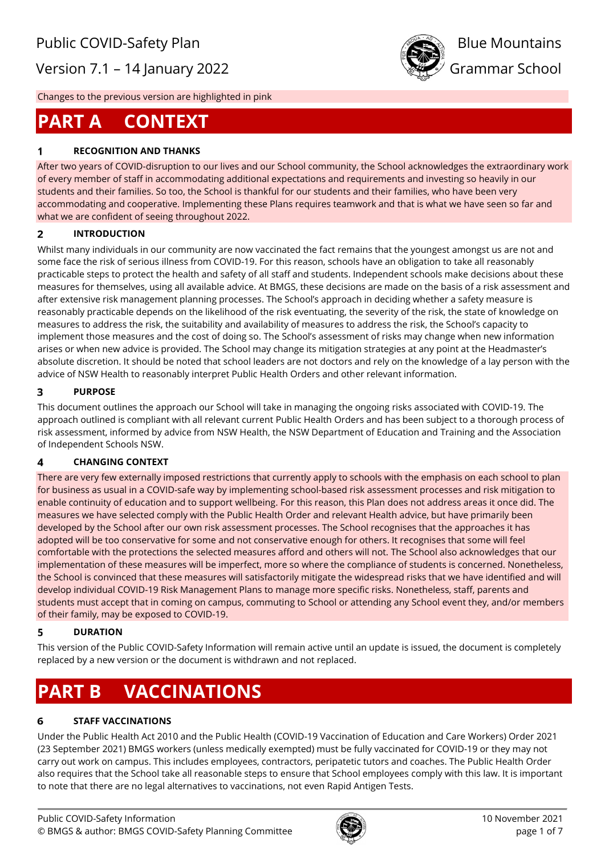Version 7.1 – 14 January 2022 **Grammar School** 



Changes to the previous version are highlighted in pink

# **PART A CONTEXT**

# **RECOGNITION AND THANKS**

After two years of COVID-disruption to our lives and our School community, the School acknowledges the extraordinary work of every member of staff in accommodating additional expectations and requirements and investing so heavily in our students and their families. So too, the School is thankful for our students and their families, who have been very accommodating and cooperative. Implementing these Plans requires teamwork and that is what we have seen so far and what we are confident of seeing throughout 2022.

#### $\overline{2}$ **INTRODUCTION**

Whilst many individuals in our community are now vaccinated the fact remains that the youngest amongst us are not and some face the risk of serious illness from COVID-19. For this reason, schools have an obligation to take all reasonably practicable steps to protect the health and safety of all staff and students. Independent schools make decisions about these measures for themselves, using all available advice. At BMGS, these decisions are made on the basis of a risk assessment and after extensive risk management planning processes. The School's approach in deciding whether a safety measure is reasonably practicable depends on the likelihood of the risk eventuating, the severity of the risk, the state of knowledge on measures to address the risk, the suitability and availability of measures to address the risk, the School's capacity to implement those measures and the cost of doing so. The School's assessment of risks may change when new information arises or when new advice is provided. The School may change its mitigation strategies at any point at the Headmaster's absolute discretion. It should be noted that school leaders are not doctors and rely on the knowledge of a lay person with the advice of NSW Health to reasonably interpret Public Health Orders and other relevant information.

#### $\overline{\mathbf{3}}$ **PURPOSE**

This document outlines the approach our School will take in managing the ongoing risks associated with COVID-19. The approach outlined is compliant with all relevant current Public Health Orders and has been subject to a thorough process of risk assessment, informed by advice from NSW Health, the NSW Department of Education and Training and the Association of Independent Schools NSW.

#### $\overline{\mathbf{4}}$ **CHANGING CONTEXT**

There are very few externally imposed restrictions that currently apply to schools with the emphasis on each school to plan for business as usual in a COVID-safe way by implementing school-based risk assessment processes and risk mitigation to enable continuity of education and to support wellbeing. For this reason, this Plan does not address areas it once did. The measures we have selected comply with the Public Health Order and relevant Health advice, but have primarily been developed by the School after our own risk assessment processes. The School recognises that the approaches it has adopted will be too conservative for some and not conservative enough for others. It recognises that some will feel comfortable with the protections the selected measures afford and others will not. The School also acknowledges that our implementation of these measures will be imperfect, more so where the compliance of students is concerned. Nonetheless, the School is convinced that these measures will satisfactorily mitigate the widespread risks that we have identified and will develop individual COVID-19 Risk Management Plans to manage more specific risks. Nonetheless, staff, parents and students must accept that in coming on campus, commuting to School or attending any School event they, and/or members of their family, may be exposed to COVID-19.

#### 5 **DURATION**

This version of the Public COVID-Safety Information will remain active until an update is issued, the document is completely replaced by a new version or the document is withdrawn and not replaced.

# **PART B VACCINATIONS**

#### **STAFF VACCINATIONS** 6

Under the Public Health Act 2010 and the Public Health (COVID-19 Vaccination of Education and Care Workers) Order 2021 (23 September 2021) BMGS workers (unless medically exempted) must be fully vaccinated for COVID-19 or they may not carry out work on campus. This includes employees, contractors, peripatetic tutors and coaches. The Public Health Order also requires that the School take all reasonable steps to ensure that School employees comply with this law. It is important to note that there are no legal alternatives to vaccinations, not even Rapid Antigen Tests.

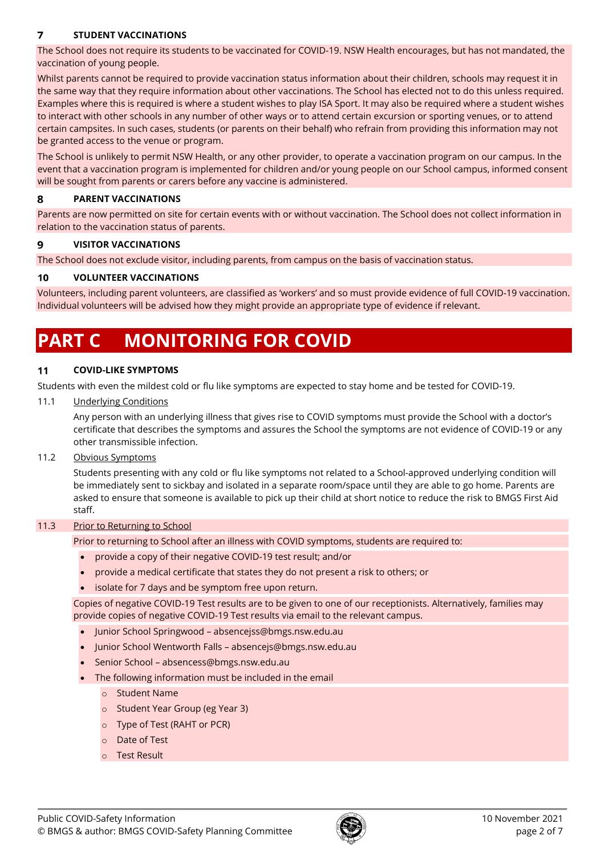#### $\overline{7}$ **STUDENT VACCINATIONS**

The School does not require its students to be vaccinated for COVID-19. NSW Health encourages, but has not mandated, the vaccination of young people.

Whilst parents cannot be required to provide vaccination status information about their children, schools may request it in the same way that they require information about other vaccinations. The School has elected not to do this unless required. Examples where this is required is where a student wishes to play ISA Sport. It may also be required where a student wishes to interact with other schools in any number of other ways or to attend certain excursion or sporting venues, or to attend certain campsites. In such cases, students (or parents on their behalf) who refrain from providing this information may not be granted access to the venue or program.

The School is unlikely to permit NSW Health, or any other provider, to operate a vaccination program on our campus. In the event that a vaccination program is implemented for children and/or young people on our School campus, informed consent will be sought from parents or carers before any vaccine is administered.

#### 8 **PARENT VACCINATIONS**

Parents are now permitted on site for certain events with or without vaccination. The School does not collect information in relation to the vaccination status of parents.

#### 9 **VISITOR VACCINATIONS**

The School does not exclude visitor, including parents, from campus on the basis of vaccination status.

#### 10 **VOLUNTEER VACCINATIONS**

Volunteers, including parent volunteers, are classified as 'workers' and so must provide evidence of full COVID-19 vaccination. Individual volunteers will be advised how they might provide an appropriate type of evidence if relevant.

# **PART C MONITORING FOR COVID**

#### 11 **COVID-LIKE SYMPTOMS**

Students with even the mildest cold or flu like symptoms are expected to stay home and be tested for COVID-19.

## 11.1 Underlying Conditions

Any person with an underlying illness that gives rise to COVID symptoms must provide the School with a doctor's certificate that describes the symptoms and assures the School the symptoms are not evidence of COVID-19 or any other transmissible infection.

# 11.2 Obvious Symptoms

Students presenting with any cold or flu like symptoms not related to a School-approved underlying condition will be immediately sent to sickbay and isolated in a separate room/space until they are able to go home. Parents are asked to ensure that someone is available to pick up their child at short notice to reduce the risk to BMGS First Aid staff.

# 11.3 Prior to Returning to School

Prior to returning to School after an illness with COVID symptoms, students are required to:

- provide a copy of their negative COVID-19 test result; and/or
- provide a medical certificate that states they do not present a risk to others; or
- isolate for 7 days and be symptom free upon return.

Copies of negative COVID-19 Test results are to be given to one of our receptionists. Alternatively, families may provide copies of negative COVID-19 Test results via email to the relevant campus.

- Junior School Springwood [absencejss@bmgs.nsw.edu.au](mailto:absencejss@bmgs.nsw.edu.au)
- Junior School Wentworth Falls [absencejs@bmgs.nsw.edu.au](mailto:absencejs@bmgs.nsw.edu.au)
- Senior School [absencess@bmgs.nsw.edu.au](mailto:absencess@bmgs.nsw.edu.au)
- The following information must be included in the email
	- o Student Name
	- o Student Year Group (eg Year 3)
	- o Type of Test (RAHT or PCR)
	- o Date of Test
	- o Test Result

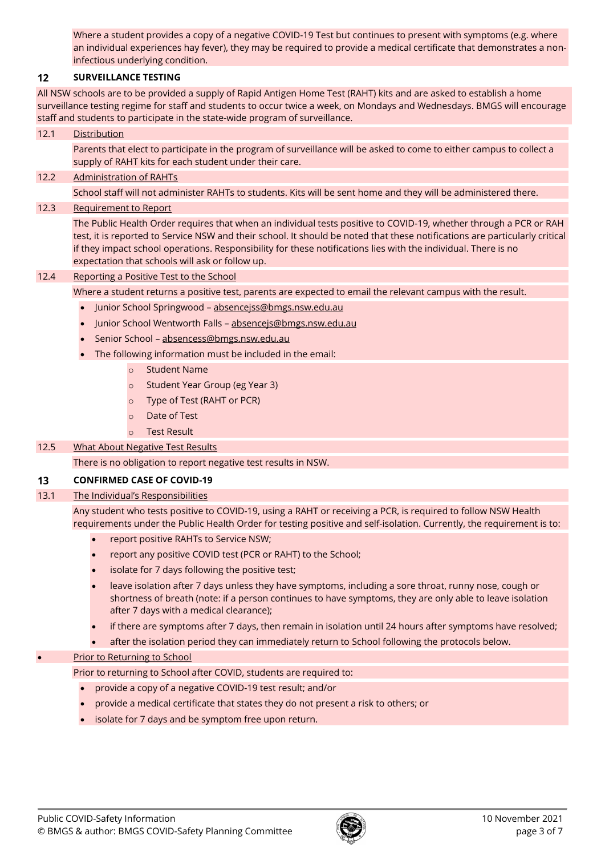Where a student provides a copy of a negative COVID-19 Test but continues to present with symptoms (e.g. where an individual experiences hay fever), they may be required to provide a medical certificate that demonstrates a noninfectious underlying condition.

#### **SURVEILLANCE TESTING**  $12$

All NSW schools are to be provided a supply of Rapid Antigen Home Test (RAHT) kits and are asked to establish a home surveillance testing regime for staff and students to occur twice a week, on Mondays and Wednesdays. BMGS will encourage staff and students to participate in the state-wide program of surveillance.

### 12.1 Distribution

Parents that elect to participate in the program of surveillance will be asked to come to either campus to collect a supply of RAHT kits for each student under their care.

### 12.2 Administration of RAHTs

School staff will not administer RAHTs to students. Kits will be sent home and they will be administered there.

## 12.3 Requirement to Report

The Public Health Order requires that when an individual tests positive to COVID-19, whether through a PCR or RAH test, it is reported to Service NSW and their school. It should be noted that these notifications are particularly critical if they impact school operations. Responsibility for these notifications lies with the individual. There is no expectation that schools will ask or follow up.

### 12.4 Reporting a Positive Test to the School

Where a student returns a positive test, parents are expected to email the relevant campus with the result.

- Junior School Springwood absenceiss@bmgs.nsw.edu.au
- Junior School Wentworth Falls [absencejs@bmgs.nsw.edu.au](mailto:absencejs@bmgs.nsw.edu.au)
- Senior School [absencess@bmgs.nsw.edu.au](mailto:absencess@bmgs.nsw.edu.au)
- The following information must be included in the email:
	- o Student Name
	- o Student Year Group (eg Year 3)
	- o Type of Test (RAHT or PCR)
	- Date of Test
	- o Test Result

## 12.5 What About Negative Test Results

There is no obligation to report negative test results in NSW.

#### $13$ **CONFIRMED CASE OF COVID-19**

## 13.1 The Individual's Responsibilities

Any student who tests positive to COVID-19, using a RAHT or receiving a PCR, is required to follow NSW Health requirements under the Public Health Order for testing positive and self-isolation. Currently, the requirement is to:

- report positive RAHTs to Service NSW;
- report any positive COVID test (PCR or RAHT) to the School;
- isolate for 7 days following the positive test;
- leave isolation after 7 days unless they have symptoms, including a sore throat, runny nose, cough or shortness of breath (note: if a person continues to have symptoms, they are only able to leave isolation after 7 days with a medical clearance);
- if there are symptoms after 7 days, then remain in isolation until 24 hours after symptoms have resolved;
- after the isolation period they can immediately return to School following the protocols below.

## Prior to Returning to School

Prior to returning to School after COVID, students are required to:

- provide a copy of a negative COVID-19 test result; and/or
- provide a medical certificate that states they do not present a risk to others; or
- isolate for 7 days and be symptom free upon return.

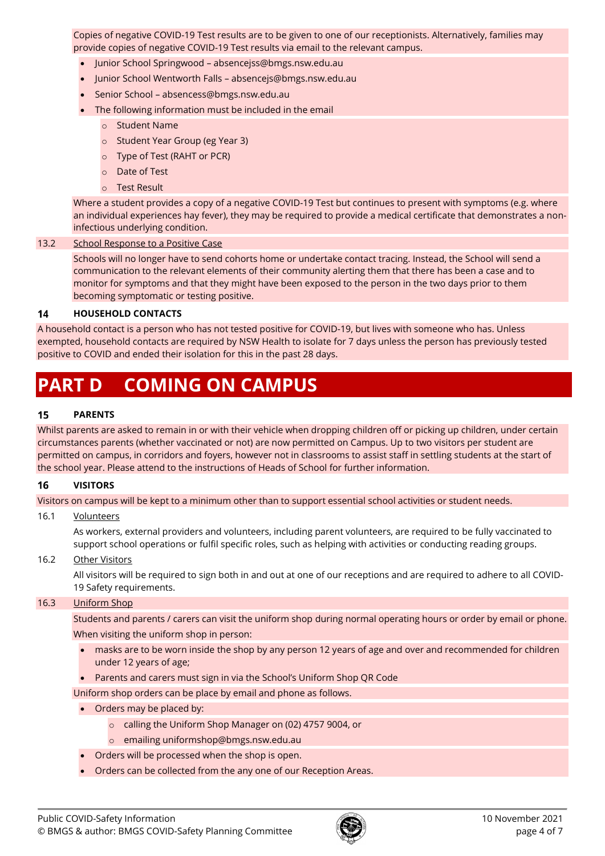Copies of negative COVID-19 Test results are to be given to one of our receptionists. Alternatively, families may provide copies of negative COVID-19 Test results via email to the relevant campus.

- Junior School Springwood [absencejss@bmgs.nsw.edu.au](mailto:absencejss@bmgs.nsw.edu.au)
- Junior School Wentworth Falls [absencejs@bmgs.nsw.edu.au](mailto:absencejs@bmgs.nsw.edu.au)
- Senior School [absencess@bmgs.nsw.edu.au](mailto:absencess@bmgs.nsw.edu.au)
- The following information must be included in the email
	- o Student Name
	- o Student Year Group (eg Year 3)
	- o Type of Test (RAHT or PCR)
	- o Date of Test
	- o Test Result

Where a student provides a copy of a negative COVID-19 Test but continues to present with symptoms (e.g. where an individual experiences hay fever), they may be required to provide a medical certificate that demonstrates a noninfectious underlying condition.

### 13.2 School Response to a Positive Case

Schools will no longer have to send cohorts home or undertake contact tracing. Instead, the School will send a communication to the relevant elements of their community alerting them that there has been a case and to monitor for symptoms and that they might have been exposed to the person in the two days prior to them becoming symptomatic or testing positive.

#### $14$ **HOUSEHOLD CONTACTS**

A household contact is a person who has not tested positive for COVID-19, but lives with someone who has. Unless exempted, household contacts are required by NSW Health to isolate for 7 days unless the person has previously tested positive to COVID and ended their isolation for this in the past 28 days.

# **PART D COMING ON CAMPUS**

#### 15 **PARENTS**

Whilst parents are asked to remain in or with their vehicle when dropping children off or picking up children, under certain circumstances parents (whether vaccinated or not) are now permitted on Campus. Up to two visitors per student are permitted on campus, in corridors and foyers, however not in classrooms to assist staff in settling students at the start of the school year. Please attend to the instructions of Heads of School for further information.

#### 16 **VISITORS**

Visitors on campus will be kept to a minimum other than to support essential school activities or student needs.

### 16.1 Volunteers

As workers, external providers and volunteers, including parent volunteers, are required to be fully vaccinated to support school operations or fulfil specific roles, such as helping with activities or conducting reading groups.

### 16.2 Other Visitors

All visitors will be required to sign both in and out at one of our receptions and are required to adhere to all COVID-19 Safety requirements.

### 16.3 Uniform Shop

Students and parents / carers can visit the uniform shop during normal operating hours or order by email or phone. When visiting the uniform shop in person:

- masks are to be worn inside the shop by any person 12 years of age and over and recommended for children under 12 years of age;
- Parents and carers must sign in via the School's Uniform Shop QR Code
- Uniform shop orders can be place by email and phone as follows.
- Orders may be placed by:
	- o calling the Uniform Shop Manager on (02) 4757 9004, or
	- o emailing [uniformshop@bmgs.nsw.edu.au](mailto:uniformshop@bmgs.nsw.edu.au)
- Orders will be processed when the shop is open.
- Orders can be collected from the any one of our Reception Areas.

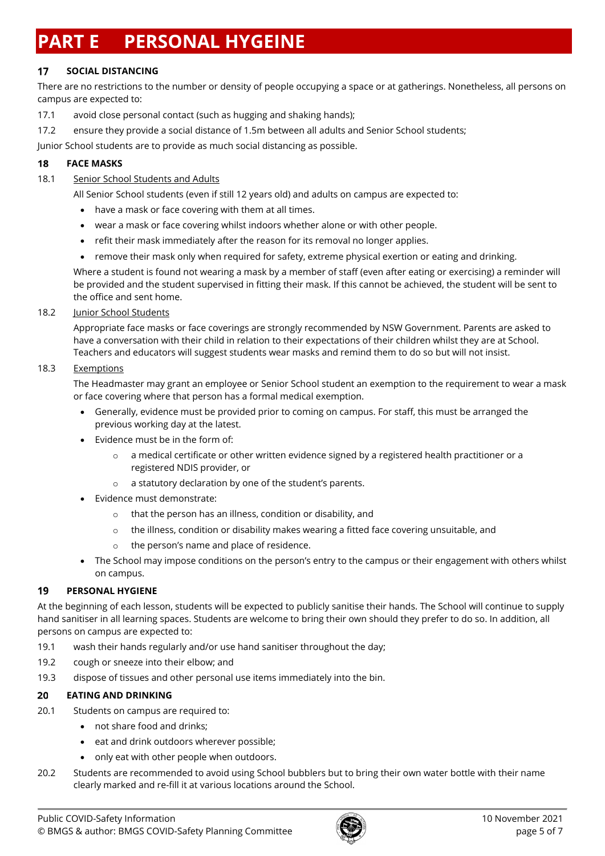# **PART E PERSONAL HYGEINE**

#### 17 **SOCIAL DISTANCING**

There are no restrictions to the number or density of people occupying a space or at gatherings. Nonetheless, all persons on campus are expected to:

- 17.1 avoid close personal contact (such as hugging and shaking hands);
- 17.2 ensure they provide a social distance of 1.5m between all adults and Senior School students;

Junior School students are to provide as much social distancing as possible.

#### 18 **FACE MASKS**

# 18.1 Senior School Students and Adults

All Senior School students (even if still 12 years old) and adults on campus are expected to:

- have a mask or face covering with them at all times.
- wear a mask or face covering whilst indoors whether alone or with other people.
- refit their mask immediately after the reason for its removal no longer applies.
- remove their mask only when required for safety, extreme physical exertion or eating and drinking.

Where a student is found not wearing a mask by a member of staff (even after eating or exercising) a reminder will be provided and the student supervised in fitting their mask. If this cannot be achieved, the student will be sent to the office and sent home.

# 18.2 Junior School Students

Appropriate face masks or face coverings are strongly recommended by NSW Government. Parents are asked to have a conversation with their child in relation to their expectations of their children whilst they are at School. Teachers and educators will suggest students wear masks and remind them to do so but will not insist.

# 18.3 Exemptions

The Headmaster may grant an employee or Senior School student an exemption to the requirement to wear a mask or face covering where that person has a formal medical exemption.

- Generally, evidence must be provided prior to coming on campus. For staff, this must be arranged the previous working day at the latest.
- Evidence must be in the form of:
	- $\circ$  a medical certificate or other written evidence signed by a registered health practitioner or a registered NDIS provider, or
	- o a statutory declaration by one of the student's parents.
- Evidence must demonstrate:
	- o that the person has an illness, condition or disability, and
	- $\circ$  the illness, condition or disability makes wearing a fitted face covering unsuitable, and
	- the person's name and place of residence.
- The School may impose conditions on the person's entry to the campus or their engagement with others whilst on campus.

#### **PERSONAL HYGIENE** 19

At the beginning of each lesson, students will be expected to publicly sanitise their hands. The School will continue to supply hand sanitiser in all learning spaces. Students are welcome to bring their own should they prefer to do so. In addition, all persons on campus are expected to:

- 19.1 wash their hands regularly and/or use hand sanitiser throughout the day;
- 19.2 cough or sneeze into their elbow; and
- 19.3 dispose of tissues and other personal use items immediately into the bin.

#### **EATING AND DRINKING** 20

- 20.1 Students on campus are required to:
	- not share food and drinks;
	- eat and drink outdoors wherever possible;
	- only eat with other people when outdoors.
- 20.2 Students are recommended to avoid using School bubblers but to bring their own water bottle with their name clearly marked and re-fill it at various locations around the School.

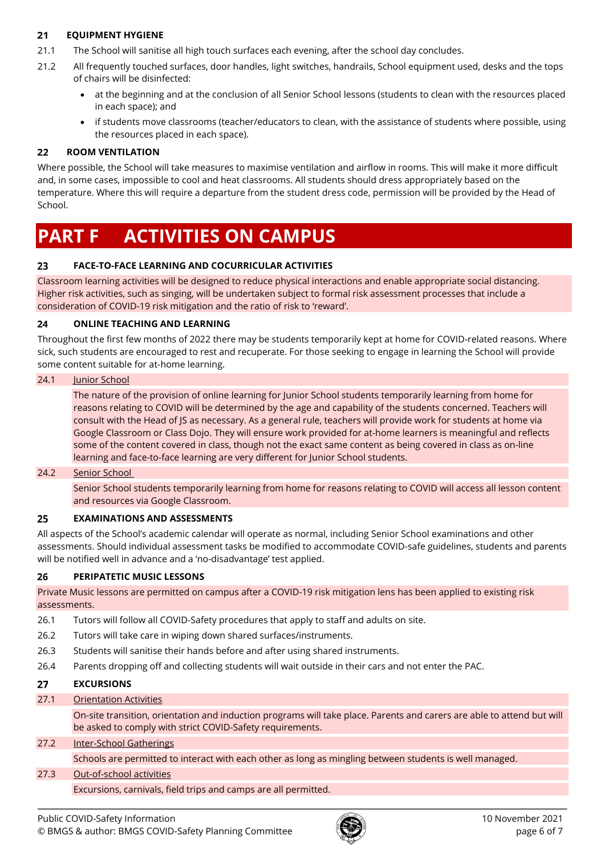#### $21$ **EQUIPMENT HYGIENE**

- 21.1 The School will sanitise all high touch surfaces each evening, after the school day concludes.
- 21.2 All frequently touched surfaces, door handles, light switches, handrails, School equipment used, desks and the tops of chairs will be disinfected:
	- at the beginning and at the conclusion of all Senior School lessons (students to clean with the resources placed in each space); and
	- if students move classrooms (teacher/educators to clean, with the assistance of students where possible, using the resources placed in each space).

#### 22 **ROOM VENTILATION**

Where possible, the School will take measures to maximise ventilation and airflow in rooms. This will make it more difficult and, in some cases, impossible to cool and heat classrooms. All students should dress appropriately based on the temperature. Where this will require a departure from the student dress code, permission will be provided by the Head of School.

# **PART F ACTIVITIES ON CAMPUS**

#### 23 **FACE-TO-FACE LEARNING AND COCURRICULAR ACTIVITIES**

Classroom learning activities will be designed to reduce physical interactions and enable appropriate social distancing. Higher risk activities, such as singing, will be undertaken subject to formal risk assessment processes that include a consideration of COVID-19 risk mitigation and the ratio of risk to 'reward'.

#### **ONLINE TEACHING AND LEARNING**  $24$

Throughout the first few months of 2022 there may be students temporarily kept at home for COVID-related reasons. Where sick, such students are encouraged to rest and recuperate. For those seeking to engage in learning the School will provide some content suitable for at-home learning.

## 24.1 Junior School

The nature of the provision of online learning for Junior School students temporarily learning from home for reasons relating to COVID will be determined by the age and capability of the students concerned. Teachers will consult with the Head of JS as necessary. As a general rule, teachers will provide work for students at home via Google Classroom or Class Dojo. They will ensure work provided for at-home learners is meaningful and reflects some of the content covered in class, though not the exact same content as being covered in class as on-line learning and face-to-face learning are very different for Junior School students.

## 24.2 Senior School

Senior School students temporarily learning from home for reasons relating to COVID will access all lesson content and resources via Google Classroom.

#### 25 **EXAMINATIONS AND ASSESSMENTS**

All aspects of the School's academic calendar will operate as normal, including Senior School examinations and other assessments. Should individual assessment tasks be modified to accommodate COVID-safe guidelines, students and parents will be notified well in advance and a 'no-disadvantage' test applied.

#### $26$ **PERIPATETIC MUSIC LESSONS**

Private Music lessons are permitted on campus after a COVID-19 risk mitigation lens has been applied to existing risk assessments.

- 26.1 Tutors will follow all COVID-Safety procedures that apply to staff and adults on site.
- 26.2 Tutors will take care in wiping down shared surfaces/instruments.
- 26.3 Students will sanitise their hands before and after using shared instruments.
- 26.4 Parents dropping off and collecting students will wait outside in their cars and not enter the PAC.

#### 27 **EXCURSIONS**

## 27.1 Orientation Activities

On-site transition, orientation and induction programs will take place. Parents and carers are able to attend but will be asked to comply with strict COVID-Safety requirements.

# 27.2 Inter-School Gatherings

Schools are permitted to interact with each other as long as mingling between students is well managed.

# 27.3 Out-of-school activities

Excursions, carnivals, field trips and camps are all permitted.